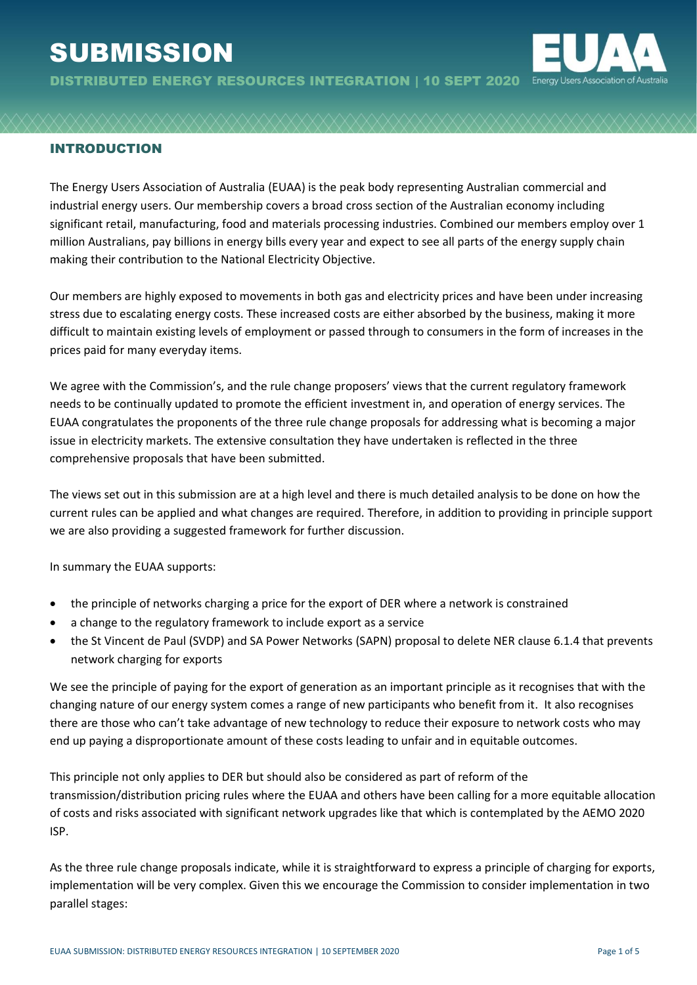# **SUBMISSION**



DISTRIBUTED ENERGY RESOURCES INTEGRATION | 10 SEPT 2020

# INTRODUCTION

The Energy Users Association of Australia (EUAA) is the peak body representing Australian commercial and industrial energy users. Our membership covers a broad cross section of the Australian economy including significant retail, manufacturing, food and materials processing industries. Combined our members employ over 1 million Australians, pay billions in energy bills every year and expect to see all parts of the energy supply chain making their contribution to the National Electricity Objective.

Our members are highly exposed to movements in both gas and electricity prices and have been under increasing stress due to escalating energy costs. These increased costs are either absorbed by the business, making it more difficult to maintain existing levels of employment or passed through to consumers in the form of increases in the prices paid for many everyday items.

We agree with the Commission's, and the rule change proposers' views that the current regulatory framework needs to be continually updated to promote the efficient investment in, and operation of energy services. The EUAA congratulates the proponents of the three rule change proposals for addressing what is becoming a major issue in electricity markets. The extensive consultation they have undertaken is reflected in the three comprehensive proposals that have been submitted.

The views set out in this submission are at a high level and there is much detailed analysis to be done on how the current rules can be applied and what changes are required. Therefore, in addition to providing in principle support we are also providing a suggested framework for further discussion.

In summary the EUAA supports:

- the principle of networks charging a price for the export of DER where a network is constrained
- a change to the regulatory framework to include export as a service
- the St Vincent de Paul (SVDP) and SA Power Networks (SAPN) proposal to delete NER clause 6.1.4 that prevents network charging for exports

We see the principle of paying for the export of generation as an important principle as it recognises that with the changing nature of our energy system comes a range of new participants who benefit from it. It also recognises there are those who can't take advantage of new technology to reduce their exposure to network costs who may end up paying a disproportionate amount of these costs leading to unfair and in equitable outcomes.

This principle not only applies to DER but should also be considered as part of reform of the transmission/distribution pricing rules where the EUAA and others have been calling for a more equitable allocation of costs and risks associated with significant network upgrades like that which is contemplated by the AEMO 2020 ISP.

As the three rule change proposals indicate, while it is straightforward to express a principle of charging for exports, implementation will be very complex. Given this we encourage the Commission to consider implementation in two parallel stages: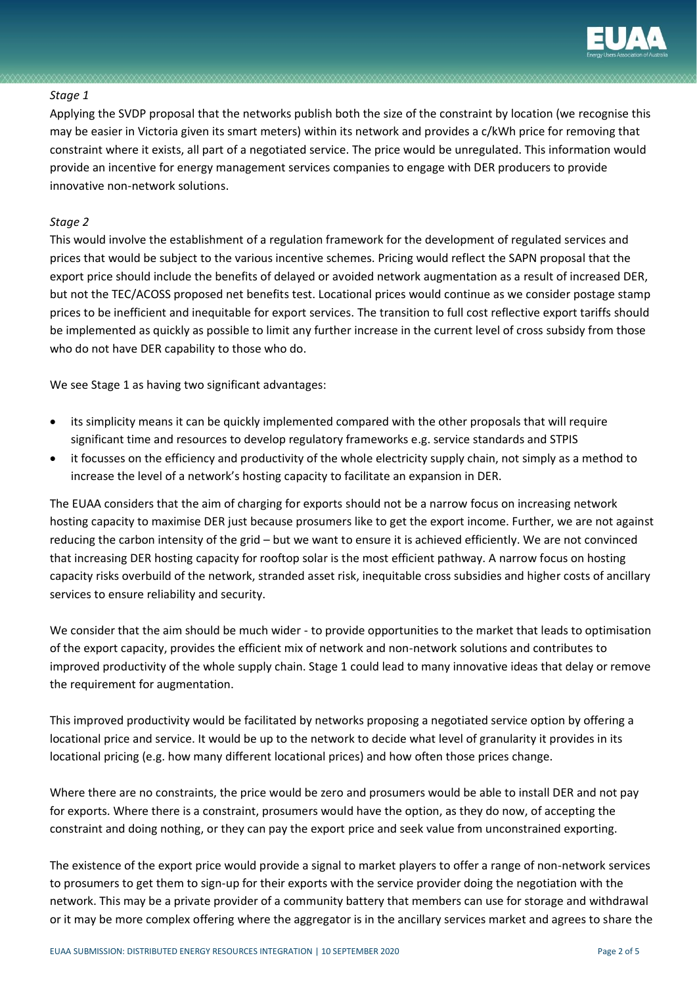

#### *Stage 1*

Applying the SVDP proposal that the networks publish both the size of the constraint by location (we recognise this may be easier in Victoria given its smart meters) within its network and provides a c/kWh price for removing that constraint where it exists, all part of a negotiated service. The price would be unregulated. This information would provide an incentive for energy management services companies to engage with DER producers to provide innovative non-network solutions.

### *Stage 2*

This would involve the establishment of a regulation framework for the development of regulated services and prices that would be subject to the various incentive schemes. Pricing would reflect the SAPN proposal that the export price should include the benefits of delayed or avoided network augmentation as a result of increased DER, but not the TEC/ACOSS proposed net benefits test. Locational prices would continue as we consider postage stamp prices to be inefficient and inequitable for export services. The transition to full cost reflective export tariffs should be implemented as quickly as possible to limit any further increase in the current level of cross subsidy from those who do not have DER capability to those who do.

We see Stage 1 as having two significant advantages:

- its simplicity means it can be quickly implemented compared with the other proposals that will require significant time and resources to develop regulatory frameworks e.g. service standards and STPIS
- it focusses on the efficiency and productivity of the whole electricity supply chain, not simply as a method to increase the level of a network's hosting capacity to facilitate an expansion in DER.

The EUAA considers that the aim of charging for exports should not be a narrow focus on increasing network hosting capacity to maximise DER just because prosumers like to get the export income. Further, we are not against reducing the carbon intensity of the grid – but we want to ensure it is achieved efficiently. We are not convinced that increasing DER hosting capacity for rooftop solar is the most efficient pathway. A narrow focus on hosting capacity risks overbuild of the network, stranded asset risk, inequitable cross subsidies and higher costs of ancillary services to ensure reliability and security.

We consider that the aim should be much wider - to provide opportunities to the market that leads to optimisation of the export capacity, provides the efficient mix of network and non-network solutions and contributes to improved productivity of the whole supply chain. Stage 1 could lead to many innovative ideas that delay or remove the requirement for augmentation.

This improved productivity would be facilitated by networks proposing a negotiated service option by offering a locational price and service. It would be up to the network to decide what level of granularity it provides in its locational pricing (e.g. how many different locational prices) and how often those prices change.

Where there are no constraints, the price would be zero and prosumers would be able to install DER and not pay for exports. Where there is a constraint, prosumers would have the option, as they do now, of accepting the constraint and doing nothing, or they can pay the export price and seek value from unconstrained exporting.

The existence of the export price would provide a signal to market players to offer a range of non-network services to prosumers to get them to sign-up for their exports with the service provider doing the negotiation with the network. This may be a private provider of a community battery that members can use for storage and withdrawal or it may be more complex offering where the aggregator is in the ancillary services market and agrees to share the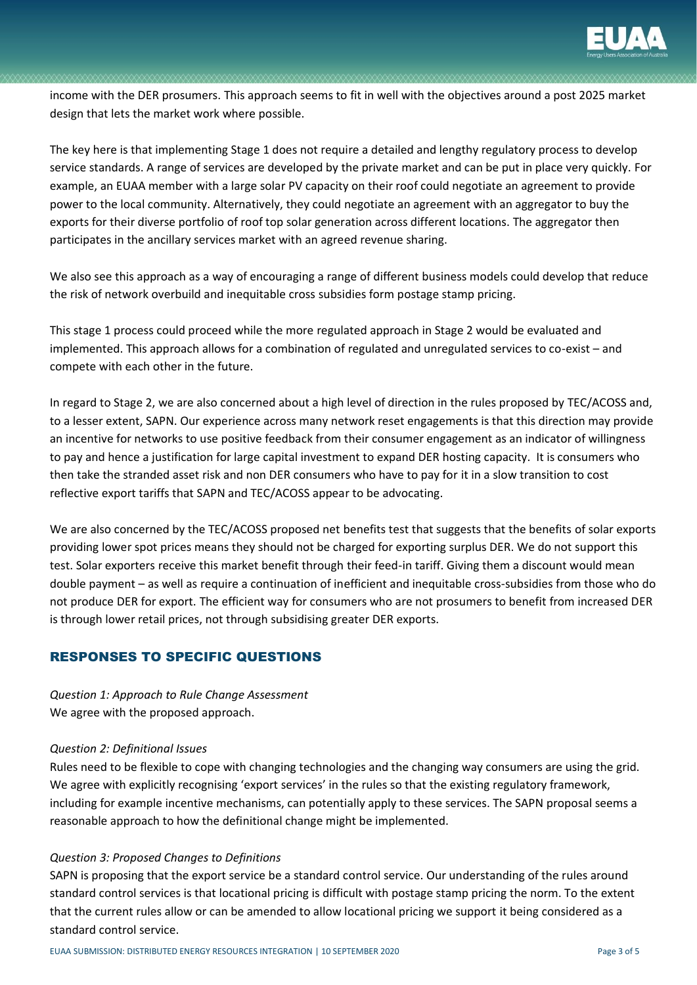

income with the DER prosumers. This approach seems to fit in well with the objectives around a post 2025 market design that lets the market work where possible.

The key here is that implementing Stage 1 does not require a detailed and lengthy regulatory process to develop service standards. A range of services are developed by the private market and can be put in place very quickly. For example, an EUAA member with a large solar PV capacity on their roof could negotiate an agreement to provide power to the local community. Alternatively, they could negotiate an agreement with an aggregator to buy the exports for their diverse portfolio of roof top solar generation across different locations. The aggregator then participates in the ancillary services market with an agreed revenue sharing.

We also see this approach as a way of encouraging a range of different business models could develop that reduce the risk of network overbuild and inequitable cross subsidies form postage stamp pricing.

This stage 1 process could proceed while the more regulated approach in Stage 2 would be evaluated and implemented. This approach allows for a combination of regulated and unregulated services to co-exist – and compete with each other in the future.

In regard to Stage 2, we are also concerned about a high level of direction in the rules proposed by TEC/ACOSS and, to a lesser extent, SAPN. Our experience across many network reset engagements is that this direction may provide an incentive for networks to use positive feedback from their consumer engagement as an indicator of willingness to pay and hence a justification for large capital investment to expand DER hosting capacity. It is consumers who then take the stranded asset risk and non DER consumers who have to pay for it in a slow transition to cost reflective export tariffs that SAPN and TEC/ACOSS appear to be advocating.

We are also concerned by the TEC/ACOSS proposed net benefits test that suggests that the benefits of solar exports providing lower spot prices means they should not be charged for exporting surplus DER. We do not support this test. Solar exporters receive this market benefit through their feed-in tariff. Giving them a discount would mean double payment – as well as require a continuation of inefficient and inequitable cross-subsidies from those who do not produce DER for export. The efficient way for consumers who are not prosumers to benefit from increased DER is through lower retail prices, not through subsidising greater DER exports.

# RESPONSES TO SPECIFIC QUESTIONS

*Question 1: Approach to Rule Change Assessment* We agree with the proposed approach.

#### *Question 2: Definitional Issues*

Rules need to be flexible to cope with changing technologies and the changing way consumers are using the grid. We agree with explicitly recognising 'export services' in the rules so that the existing regulatory framework, including for example incentive mechanisms, can potentially apply to these services. The SAPN proposal seems a reasonable approach to how the definitional change might be implemented.

## *Question 3: Proposed Changes to Definitions*

SAPN is proposing that the export service be a standard control service. Our understanding of the rules around standard control services is that locational pricing is difficult with postage stamp pricing the norm. To the extent that the current rules allow or can be amended to allow locational pricing we support it being considered as a standard control service.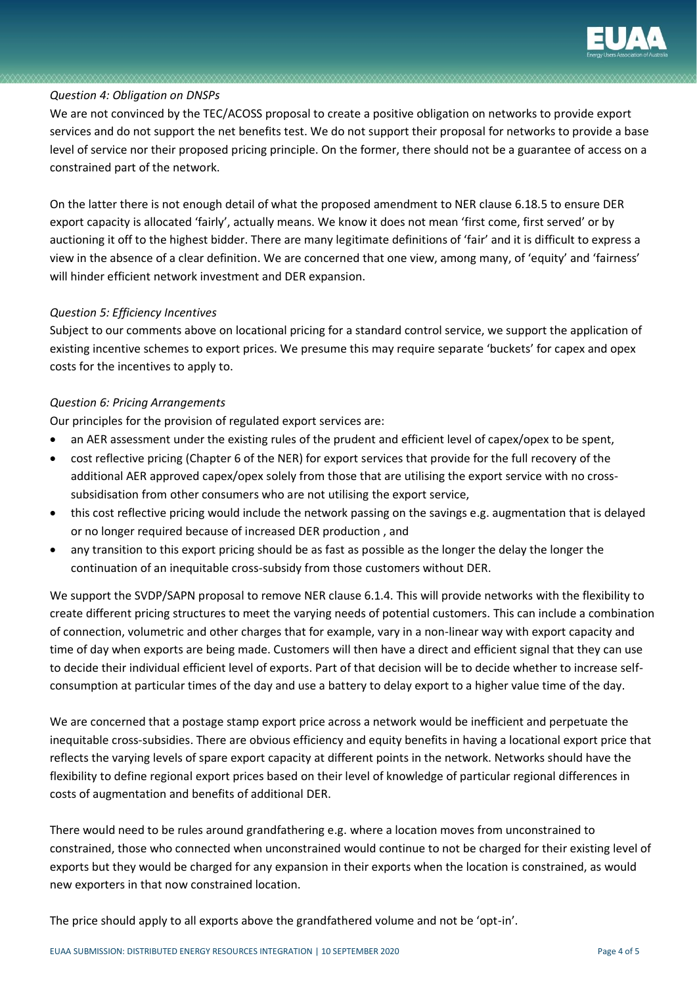

#### *Question 4: Obligation on DNSPs*

We are not convinced by the TEC/ACOSS proposal to create a positive obligation on networks to provide export services and do not support the net benefits test. We do not support their proposal for networks to provide a base level of service nor their proposed pricing principle. On the former, there should not be a guarantee of access on a constrained part of the network.

On the latter there is not enough detail of what the proposed amendment to NER clause 6.18.5 to ensure DER export capacity is allocated 'fairly', actually means. We know it does not mean 'first come, first served' or by auctioning it off to the highest bidder. There are many legitimate definitions of 'fair' and it is difficult to express a view in the absence of a clear definition. We are concerned that one view, among many, of 'equity' and 'fairness' will hinder efficient network investment and DER expansion.

#### *Question 5: Efficiency Incentives*

Subject to our comments above on locational pricing for a standard control service, we support the application of existing incentive schemes to export prices. We presume this may require separate 'buckets' for capex and opex costs for the incentives to apply to.

#### *Question 6: Pricing Arrangements*

Our principles for the provision of regulated export services are:

- an AER assessment under the existing rules of the prudent and efficient level of capex/opex to be spent,
- cost reflective pricing (Chapter 6 of the NER) for export services that provide for the full recovery of the additional AER approved capex/opex solely from those that are utilising the export service with no crosssubsidisation from other consumers who are not utilising the export service,
- this cost reflective pricing would include the network passing on the savings e.g. augmentation that is delayed or no longer required because of increased DER production , and
- any transition to this export pricing should be as fast as possible as the longer the delay the longer the continuation of an inequitable cross-subsidy from those customers without DER.

We support the SVDP/SAPN proposal to remove NER clause 6.1.4. This will provide networks with the flexibility to create different pricing structures to meet the varying needs of potential customers. This can include a combination of connection, volumetric and other charges that for example, vary in a non-linear way with export capacity and time of day when exports are being made. Customers will then have a direct and efficient signal that they can use to decide their individual efficient level of exports. Part of that decision will be to decide whether to increase selfconsumption at particular times of the day and use a battery to delay export to a higher value time of the day.

We are concerned that a postage stamp export price across a network would be inefficient and perpetuate the inequitable cross-subsidies. There are obvious efficiency and equity benefits in having a locational export price that reflects the varying levels of spare export capacity at different points in the network. Networks should have the flexibility to define regional export prices based on their level of knowledge of particular regional differences in costs of augmentation and benefits of additional DER.

There would need to be rules around grandfathering e.g. where a location moves from unconstrained to constrained, those who connected when unconstrained would continue to not be charged for their existing level of exports but they would be charged for any expansion in their exports when the location is constrained, as would new exporters in that now constrained location.

The price should apply to all exports above the grandfathered volume and not be 'opt-in'.